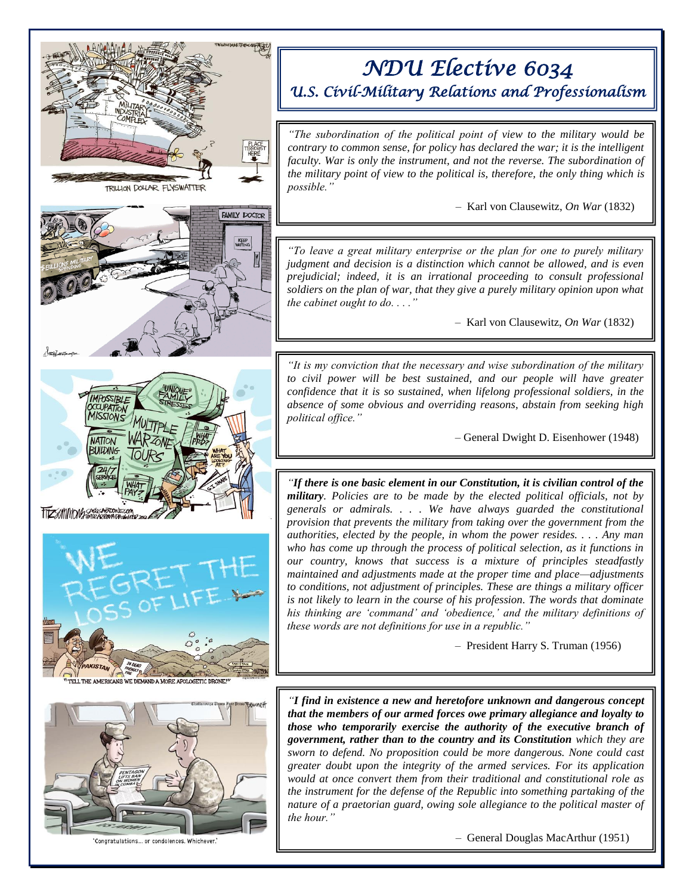